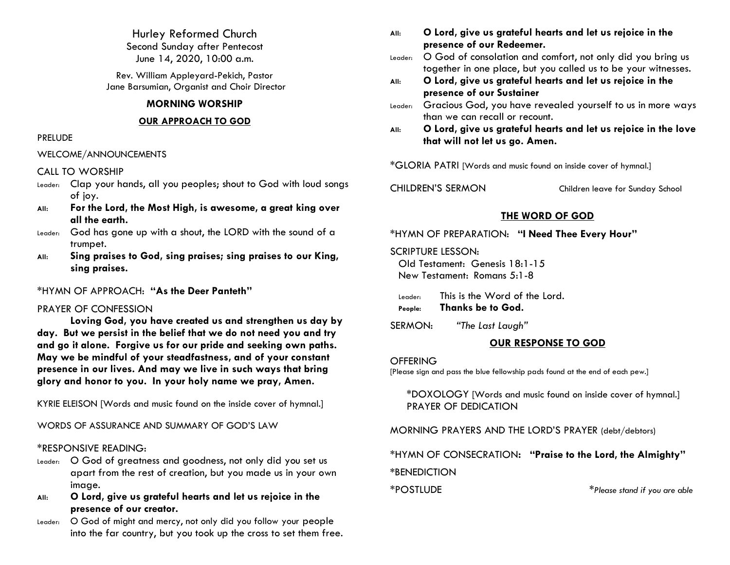Hurley Reformed Church Second Sunday after Pentecost June 14, 2020, 10:00 a.m.

Rev. William Appleyard-Pekich, Pastor Jane Barsumian, Organist and Choir Director

### **MORNING WORSHIP**

### **OUR APPROACH TO GOD**

### PRELUDE

### WELCOME/ANNOUNCEMENTS

### CALL TO WORSHIP

- Leader: Clap your hands, all you peoples; shout to God with loud songs of joy.
- **All: For the Lord, the Most High, is awesome, a great king over all the earth.**
- Leader: God has gone up with a shout, the LORD with the sound of a trumpet.
- **All: Sing praises to God, sing praises; sing praises to our King, sing praises.**

\*HYMN OF APPROACH: **"As the Deer Panteth"**

## PRAYER OF CONFESSION

**Loving God, you have created us and strengthen us day by day. But we persist in the belief that we do not need you and try and go it alone. Forgive us for our pride and seeking own paths. May we be mindful of your steadfastness, and of your constant presence in our lives. And may we live in such ways that bring glory and honor to you. In your holy name we pray, Amen.** 

KYRIE ELEISON [Words and music found on the inside cover of hymnal.]

WORDS OF ASSURANCE AND SUMMARY OF GOD'S LAW

## \*RESPONSIVE READING:

- Leader: O God of greatness and goodness, not only did you set us apart from the rest of creation, but you made us in your own image.
- **All: O Lord, give us grateful hearts and let us rejoice in the presence of our creator.**
- Leader: O God of might and mercy, not only did you follow your people into the far country, but you took up the cross to set them free.
- **All: O Lord, give us grateful hearts and let us rejoice in the presence of our Redeemer.**
- Leader: O God of consolation and comfort, not only did you bring us together in one place, but you called us to be your witnesses.
- **All: O Lord, give us grateful hearts and let us rejoice in the presence of our Sustainer**
- Leader: Gracious God, you have revealed yourself to us in more ways than we can recall or recount.
- **All: O Lord, give us grateful hearts and let us rejoice in the love that will not let us go. Amen.**

\*GLORIA PATRI [Words and music found on inside cover of hymnal.]

CHILDREN'S SERMON Children leave for Sunday School

## **THE WORD OF GOD**

\*HYMN OF PREPARATION: **"I Need Thee Every Hour"**

SCRIPTURE LESSON:

Old Testament: Genesis 18:1-15 New Testament: Romans 5:1-8

Leader: This is the Word of the Lord.

**People: Thanks be to God.**

SERMON: *"The Last Laugh"*

## **OUR RESPONSE TO GOD**

**OFFERING** 

[Please sign and pass the blue fellowship pads found at the end of each pew.]

\*DOXOLOGY [Words and music found on inside cover of hymnal.] PRAYER OF DEDICATION

MORNING PRAYERS AND THE LORD'S PRAYER (debt/debtors)

\*HYMN OF CONSECRATION**: "Praise to the Lord, the Almighty" \***BENEDICTION

\*POSTLUDE \**Please stand if you are able*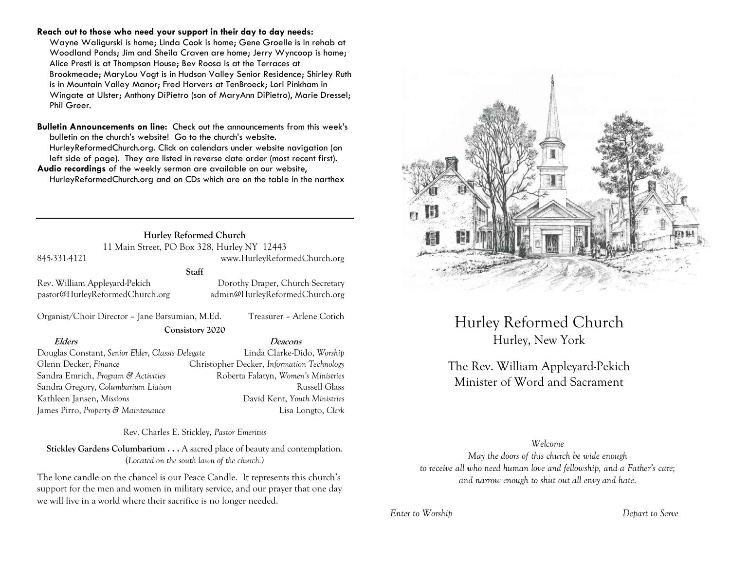#### **Reach out to those who need your support in their day to day needs:**

Wayne Waligurski is home; Linda Cook is home; Gene Groelle is in rehab at Woodland Ponds; Jim and Sheila Craven are home; Jerry Wyncoop is home; Alice Presti is at Thompson House; Bev Roosa is at the Terraces at Brookmeade; MaryLou Vogt is in Hudson Valley Senior Residence; Shirley Ruth is in Mountain Valley Manor; Fred Horvers at TenBroeck; Lori Pinkham in Wingate at Ulster; Anthony DiPietro (son of MaryAnn DiPietro), Marie Dressel; Phil Greer.

**Bulletin Announcements on line:** Check out the announcements from this week's bulletin on the church's website! Go to the church's website. HurleyReformedChurch.org. Click on calendars under website navigation (on left side of page). They are listed in reverse date order (most recent first). **Audio recordings** of the weekly sermon are available on our website, HurleyReformedChurch.org and on CDs which are on the table in the narthex

> **Hurley Reformed Church** 11 Main Street, PO Box 328, Hurley NY 12443

#### 845-331-4121 www.HurleyReformedChurch.org

**Staff**

Rev. William Appleyard-Pekich Dorothy Draper, Church Secretary pastor@HurleyReformedChurch.org admin@HurleyReformedChurch.org

Organist/Choir Director – Jane Barsumian, M.Ed. Treasurer – Arlene Cotich **Consistory 2020**

#### **Elders Deacons**

Douglas Constant, *Senior Elder*, *Classis Delegate* Linda Clarke-Dido, *Worship* Glenn Decker, *Finance* Christopher Decker, *Information Technology* Sandra Emrich, *Program & Activities* Roberta Falatyn, *Women's Ministries* Sandra Gregory, *Columbarium Liaison* **Russell Glass** Russell Glass Kathleen Jansen, *Missions* David Kent, *Youth Ministries* James Pirro, *Property & Maintenance* Lisa Longto, *Clerk*

Rev. Charles E. Stickley, *Pastor Emeritus*

**Stickley Gardens Columbarium . . .** A sacred place of beauty and contemplation. (*Located on the south lawn of the church.)* 

The lone candle on the chancel is our Peace Candle. It represents this church's support for the men and women in military service, and our prayer that one day we will live in a world where their sacrifice is no longer needed.



Hurley Reformed Church Hurley, New York

# The Rev. William Appleyard-Pekich Minister of Word and Sacrament

#### *Welcome*

*May the doors of this church be wide enough to receive all who need human love and fellowship, and a Father's care; and narrow enough to shut out all envy and hate.*

*Enter to Worship Depart to Serve*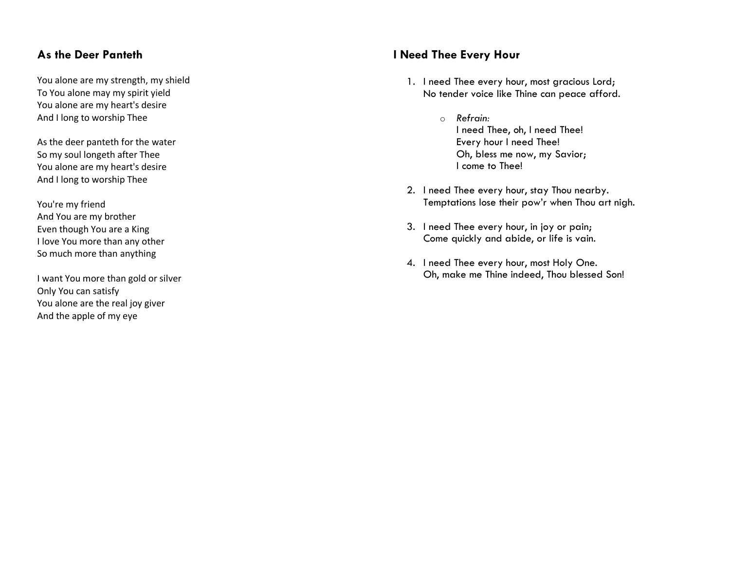## **As the Deer Panteth**

You alone are my strength, my shield To You alone may my spirit yield You alone are my heart's desire And I long to worship Thee

As the deer panteth for the water So my soul longeth after Thee You alone are my heart's desire And I long to worship Thee

You're my friend And You are my brother Even though You are a King I love You more than any other So much more than anything

I want You more than gold or silver Only You can satisfy You alone are the real joy giver And the apple of my eye

## **I Need Thee Every Hour**

- 1. I need Thee every hour, most gracious Lord; No tender voice like Thine can peace afford.
	- o *Refrain:* I need Thee, oh, I need Thee! Every hour I need Thee! Oh, bless me now, my Savior; I come to Thee!
- 2. I need Thee every hour, stay Thou nearby. Temptations lose their pow'r when Thou art nigh.
- 3. I need Thee every hour, in joy or pain; Come quickly and abide, or life is vain.
- 4. I need Thee every hour, most Holy One. Oh, make me Thine indeed, Thou blessed Son!